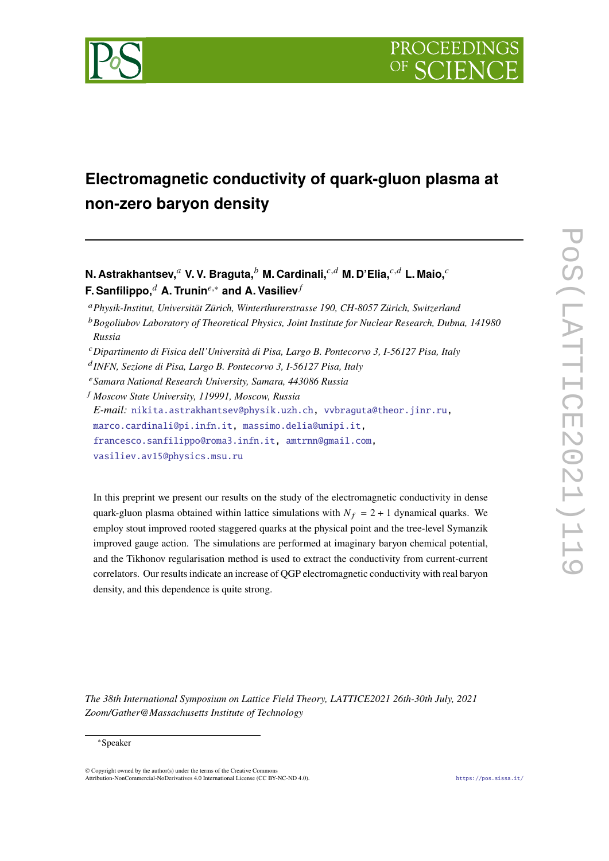

# **Electromagnetic conductivity of quark-gluon plasma at non-zero baryon density**

**N. Astrakhantsev,** av. V. Braguta, b M. Cardinali,  $^{c,d}$  M. D'Elia,  $^{c,d}$  L. Maio,  $^c$ **F. Sanfilippo,**<sup> $d$ </sup> **A. Trunin<sup>e,\*</sup> and A. Vasiliev** $f$ 

<sup>𝑎</sup>*Physik-Institut, Universität Zürich, Winterthurerstrasse 190, CH-8057 Zürich, Switzerland*

<sup>b</sup> Bogoliubov Laboratory of Theoretical Physics, Joint Institute for Nuclear Research, Dubna, 141980 *Russia*

<sup>𝑐</sup>*Dipartimento di Fisica dell'Università di Pisa, Largo B. Pontecorvo 3, I-56127 Pisa, Italy*

𝑑 *INFN, Sezione di Pisa, Largo B. Pontecorvo 3, I-56127 Pisa, Italy*

<sup>𝑒</sup>*Samara National Research University, Samara, 443086 Russia*

<sup>𝑓</sup> *Moscow State University, 119991, Moscow, Russia E-mail:* [nikita.astrakhantsev@physik.uzh.ch,](mailto:nikita.astrakhantsev@physik.uzh.ch) [vvbraguta@theor.jinr.ru,](mailto:vvbraguta@theor.jinr.ru) [marco.cardinali@pi.infn.it,](mailto:marco.cardinali@pi.infn.it) [massimo.delia@unipi.it,](mailto:massimo.delia@unipi.it) [francesco.sanfilippo@roma3.infn.it,](mailto:francesco.sanfilippo@roma3.infn.it) [amtrnn@gmail.com,](mailto:amtrnn@gmail.com) [vasiliev.av15@physics.msu.ru](mailto:vasiliev.av15@physics.msu.ru)

In this preprint we present our results on the study of the electromagnetic conductivity in dense quark-gluon plasma obtained within lattice simulations with  $N_f = 2 + 1$  dynamical quarks. We employ stout improved rooted staggered quarks at the physical point and the tree-level Symanzik improved gauge action. The simulations are performed at imaginary baryon chemical potential, and the Tikhonov regularisation method is used to extract the conductivity from current-current correlators. Our results indicate an increase of QGP electromagnetic conductivity with real baryon density, and this dependence is quite strong.

*The 38th International Symposium on Lattice Field Theory, LATTICE2021 26th-30th July, 2021 Zoom/Gather@Massachusetts Institute of Technology*

#### <sup>∗</sup>Speaker

© Copyright owned by the author(s) under the terms of the Creative Commons Attribution-NonCommercial-NoDerivatives 4.0 International License (CC BY-NC-ND 4.0). <https://pos.sissa.it/>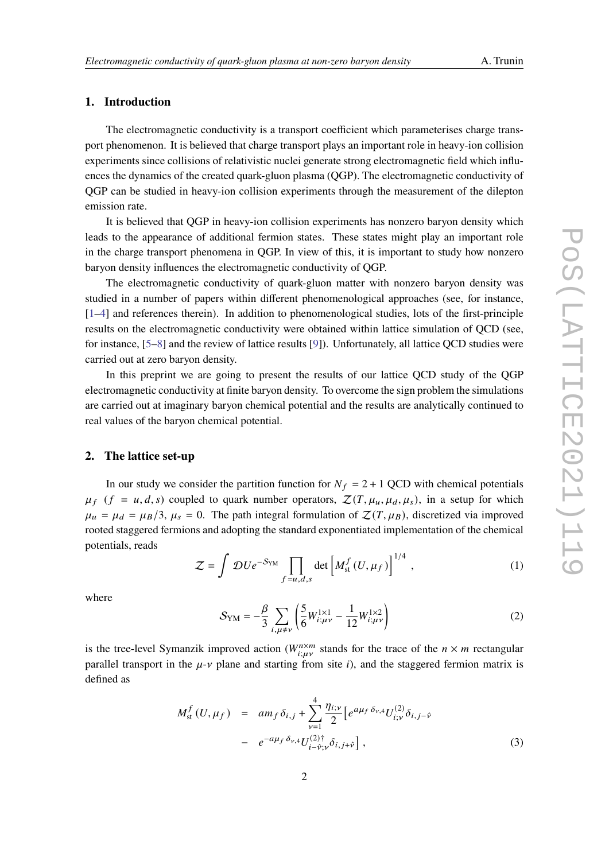## **1. Introduction**

The electromagnetic conductivity is a transport coefficient which parameterises charge transport phenomenon. It is believed that charge transport plays an important role in heavy-ion collision experiments since collisions of relativistic nuclei generate strong electromagnetic field which influences the dynamics of the created quark-gluon plasma (QGP). The electromagnetic conductivity of QGP can be studied in heavy-ion collision experiments through the measurement of the dilepton emission rate.

It is believed that QGP in heavy-ion collision experiments has nonzero baryon density which leads to the appearance of additional fermion states. These states might play an important role in the charge transport phenomena in QGP. In view of this, it is important to study how nonzero baryon density influences the electromagnetic conductivity of QGP.

The electromagnetic conductivity of quark-gluon matter with nonzero baryon density was studied in a number of papers within different phenomenological approaches (see, for instance, [\[1](#page-8-0)[–4\]](#page-8-1) and references therein). In addition to phenomenological studies, lots of the first-principle results on the electromagnetic conductivity were obtained within lattice simulation of QCD (see, for instance, [\[5–](#page-8-2)[8\]](#page-8-3) and the review of lattice results [\[9\]](#page-8-4)). Unfortunately, all lattice QCD studies were carried out at zero baryon density.

In this preprint we are going to present the results of our lattice QCD study of the QGP electromagnetic conductivity at finite baryon density. To overcome the sign problem the simulations are carried out at imaginary baryon chemical potential and the results are analytically continued to real values of the baryon chemical potential.

#### **2. The lattice set-up**

In our study we consider the partition function for  $N_f = 2 + 1$  QCD with chemical potentials  $\mu_f$  ( $f = u, d, s$ ) coupled to quark number operators,  $\mathcal{Z}(T, \mu_u, \mu_d, \mu_s)$ , in a setup for which  $\mu_u = \mu_d = \mu_B/3$ ,  $\mu_s = 0$ . The path integral formulation of  $\mathcal{Z}(T, \mu_B)$ , discretized via improved rooted staggered fermions and adopting the standard exponentiated implementation of the chemical potentials, reads

$$
\mathcal{Z} = \int \mathcal{D}U e^{-S_{\text{YM}}} \prod_{f=u,d,s} \det \left[ M_{\text{st}}^f(U,\mu_f) \right]^{1/4}, \qquad (1)
$$

where

$$
S_{\rm YM} = -\frac{\beta}{3} \sum_{i,\mu \neq \nu} \left( \frac{5}{6} W_{i;\mu\nu}^{1\times 1} - \frac{1}{12} W_{i;\mu\nu}^{1\times 2} \right)
$$
 (2)

is the tree-level Symanzik improved action ( $W_{i;\mu\nu}^{n\times m}$  stands for the trace of the  $n \times m$  rectangular parallel transport in the  $\mu$ - $\nu$  plane and starting from site *i*), and the staggered fermion matrix is defined as

$$
M_{\rm st}^{f}(U,\mu_{f}) = am_{f}\delta_{i,j} + \sum_{\nu=1}^{4} \frac{\eta_{i;\nu}}{2} \left[ e^{a\mu_{f}\delta_{\nu,4}} U_{i;\nu}^{(2)} \delta_{i,j-\hat{\nu}} - e^{-a\mu_{f}\delta_{\nu,4}} U_{i-\hat{\nu};\nu}^{(2)\dagger} \delta_{i,j+\hat{\nu}} \right],
$$
\n(3)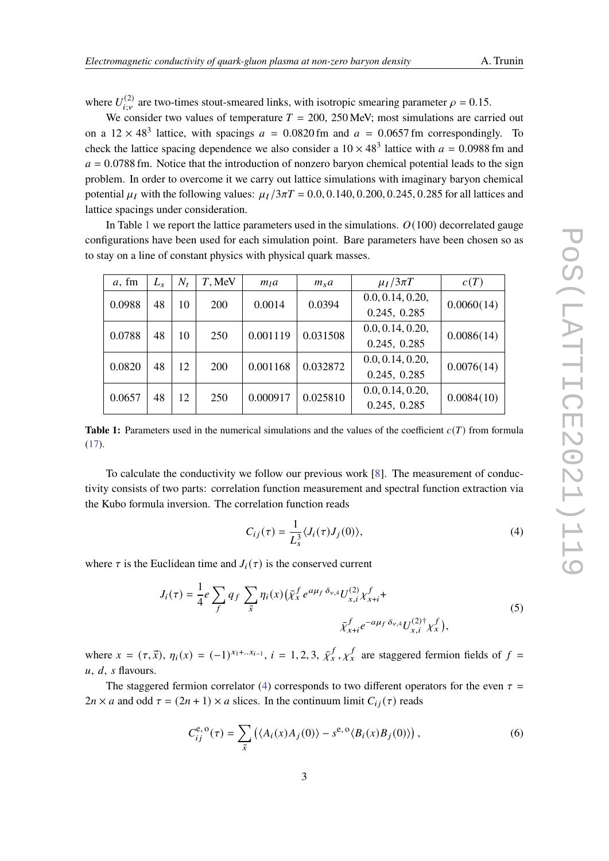where  $U_{i;\nu}^{(2)}$  are two-times stout-smeared links, with isotropic smearing parameter  $\rho = 0.15$ .

We consider two values of temperature  $T = 200$ , 250 MeV; most simulations are carried out on a  $12 \times 48^3$  lattice, with spacings  $a = 0.0820$  fm and  $a = 0.0657$  fm correspondingly. To check the lattice spacing dependence we also consider a  $10 \times 48^3$  lattice with  $a = 0.0988$  fm and  $a = 0.0788$  fm. Notice that the introduction of nonzero baryon chemical potential leads to the sign problem. In order to overcome it we carry out lattice simulations with imaginary baryon chemical potential  $\mu_I$  with the following values:  $\mu_I/3\pi T = 0.0, 0.140, 0.200, 0.245, 0.285$  for all lattices and lattice spacings under consideration.

In Table [1](#page-2-0) we report the lattice parameters used in the simulations.  $O(100)$  decorrelated gauge configurations have been used for each simulation point. Bare parameters have been chosen so as to stay on a line of constant physics with physical quark masses.

<span id="page-2-0"></span>

| a, fm  | $L_{s}$ | $N_t$ | T, MeV     | m <sub>l</sub> a | $m_s a$  | $\mu_I/3\pi T$   | c(T)       |
|--------|---------|-------|------------|------------------|----------|------------------|------------|
| 0.0988 | 48      | 10    | <b>200</b> | 0.0014           | 0.0394   | 0.0, 0.14, 0.20, | 0.0060(14) |
|        |         |       |            |                  |          | 0.245, 0.285     |            |
| 0.0788 | 48      | 10    | 250        | 0.001119         | 0.031508 | 0.0, 0.14, 0.20, | 0.0086(14) |
|        |         |       |            |                  |          | 0.245, 0.285     |            |
| 0.0820 | 48      | 12    | <b>200</b> | 0.001168         | 0.032872 | 0.0, 0.14, 0.20, | 0.0076(14) |
|        |         |       |            |                  |          | 0.245, 0.285     |            |
| 0.0657 | 48      | 12    | 250        | 0.000917         | 0.025810 | 0.0, 0.14, 0.20, | 0.0084(10) |
|        |         |       |            |                  |          | 0.245, 0.285     |            |

**Table 1:** Parameters used in the numerical simulations and the values of the coefficient  $c(T)$  from formula [\(17\)](#page-6-0).

To calculate the conductivity we follow our previous work [\[8\]](#page-8-3). The measurement of conductivity consists of two parts: correlation function measurement and spectral function extraction via the Kubo formula inversion. The correlation function reads

<span id="page-2-1"></span>
$$
C_{ij}(\tau) = \frac{1}{L_s^3} \langle J_i(\tau) J_j(0) \rangle, \tag{4}
$$

where  $\tau$  is the Euclidean time and  $J_i(\tau)$  is the conserved current

$$
J_i(\tau) = \frac{1}{4} e \sum_f q_f \sum_{\vec{x}} \eta_i(x) \left( \bar{\chi}_x^f e^{a\mu_f \delta_{\nu,4}} U_{x,i}^{(2)} \chi_{x+i}^f + \bar{\chi}_{x+i}^f e^{-a\mu_f \delta_{\nu,4}} U_{x,i}^{(2)\dagger} \chi_x^f \right), \tag{5}
$$

where  $x = (\tau, \vec{x})$ ,  $\eta_i(x) = (-1)^{x_1 + ... x_{i-1}}$ ,  $i = 1, 2, 3, \bar{\chi}_x^f$ ,  $\chi_x^f$  are staggered fermion fields of  $f =$  $u, d, s$  flavours.

The staggered fermion correlator [\(4\)](#page-2-1) corresponds to two different operators for the even  $\tau =$  $2n \times a$  and odd  $\tau = (2n + 1) \times a$  slices. In the continuum limit  $C_{ij}(\tau)$  reads

<span id="page-2-2"></span>
$$
C_{ij}^{e, o}(\tau) = \sum_{\vec{x}} \left( \langle A_i(x) A_j(0) \rangle - s^{e, o} \langle B_i(x) B_j(0) \rangle \right), \tag{6}
$$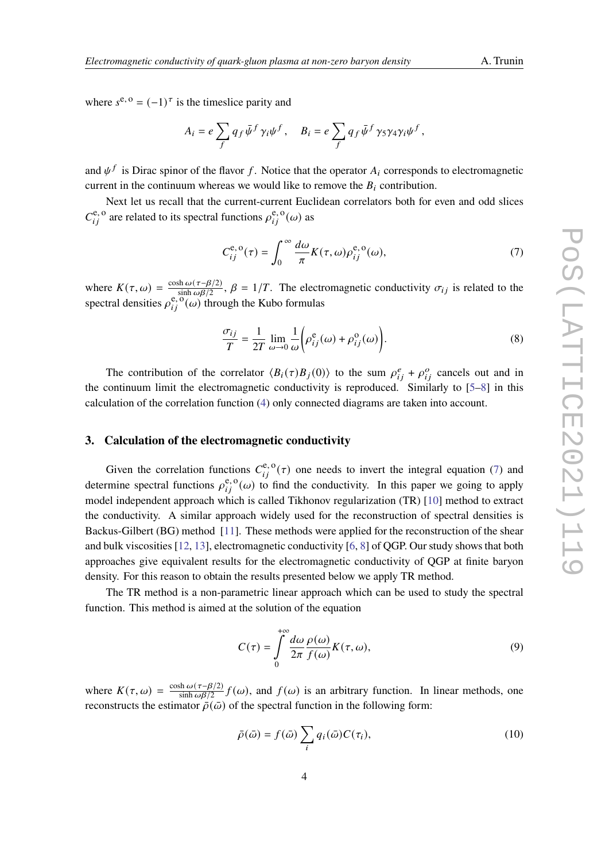where  $s^{e, o} = (-1)^{\tau}$  is the timeslice parity and

<span id="page-3-0"></span>
$$
A_i = e \sum_f q_f \bar{\psi}^f \gamma_i \psi^f, \quad B_i = e \sum_f q_f \bar{\psi}^f \gamma_5 \gamma_4 \gamma_i \psi^f,
$$

and  $\psi^f$  is Dirac spinor of the flavor f. Notice that the operator  $A_i$  corresponds to electromagnetic current in the continuum whereas we would like to remove the  $B_i$  contribution.

Next let us recall that the current-current Euclidean correlators both for even and odd slices  $C_{ij}^{\mathbf{e}, \mathbf{o}}$  are related to its spectral functions  $\rho_{ij}^{\mathbf{e}, \mathbf{o}}(\omega)$  as

$$
C_{ij}^{\mathbf{e},\,\mathbf{o}}(\tau) = \int_0^\infty \frac{d\omega}{\pi} K(\tau,\omega) \rho_{ij}^{\mathbf{e},\,\mathbf{o}}(\omega),\tag{7}
$$

where  $K(\tau, \omega) = \frac{\cosh \omega(\tau - \beta/2)}{\sinh \omega \beta/2}$  $\sin \omega(\tau - \beta/2)$ ,  $\beta = 1/T$ . The electromagnetic conductivity  $\sigma_{ij}$  is related to the spectral densities  $\rho_{ij}^{\rm e, \omega}(\omega)$  through the Kubo formulas

<span id="page-3-3"></span>
$$
\frac{\sigma_{ij}}{T} = \frac{1}{2T} \lim_{\omega \to 0} \frac{1}{\omega} \left( \rho_{ij}^e(\omega) + \rho_{ij}^o(\omega) \right).
$$
 (8)

The contribution of the correlator  $\langle B_i(\tau)B_j(0)\rangle$  to the sum  $\rho_{ij}^e + \rho_{ij}^o$  cancels out and in the continuum limit the electromagnetic conductivity is reproduced. Similarly to [\[5–](#page-8-2)[8\]](#page-8-3) in this calculation of the correlation function [\(4\)](#page-2-1) only connected diagrams are taken into account.

### **3. Calculation of the electromagnetic conductivity**

Given the correlation functions  $C_{ii}^{e, o}(\tau)$  one needs to invert the integral equation [\(7\)](#page-3-0) and determine spectral functions  $\rho_{ij}^{\rm e, o}(\omega)$  to find the conductivity. In this paper we going to apply model independent approach which is called Tikhonov regularization (TR) [\[10\]](#page-8-5) method to extract the conductivity. A similar approach widely used for the reconstruction of spectral densities is Backus-Gilbert (BG) method [\[11\]](#page-8-6). These methods were applied for the reconstruction of the shear and bulk viscosities [\[12,](#page-8-7) [13\]](#page-9-0), electromagnetic conductivity [\[6,](#page-8-8) [8\]](#page-8-3) of QGP. Our study shows that both approaches give equivalent results for the electromagnetic conductivity of QGP at finite baryon density. For this reason to obtain the results presented below we apply TR method.

The TR method is a non-parametric linear approach which can be used to study the spectral function. This method is aimed at the solution of the equation

<span id="page-3-1"></span>
$$
C(\tau) = \int_{0}^{+\infty} \frac{d\omega}{2\pi} \frac{\rho(\omega)}{f(\omega)} K(\tau, \omega),
$$
\n(9)

where  $K(\tau, \omega) = \frac{\cosh \omega(\tau - \beta/2)}{\sinh \omega \beta/2}$  $\frac{\sin \omega(\tau - \beta/2)}{\sinh \omega \beta/2} f(\omega)$ , and  $f(\omega)$  is an arbitrary function. In linear methods, one reconstructs the estimator  $\bar{\rho}(\bar{\omega})$  of the spectral function in the following form:

<span id="page-3-2"></span>
$$
\bar{\rho}(\bar{\omega}) = f(\bar{\omega}) \sum_{i} q_i(\bar{\omega}) C(\tau_i), \qquad (10)
$$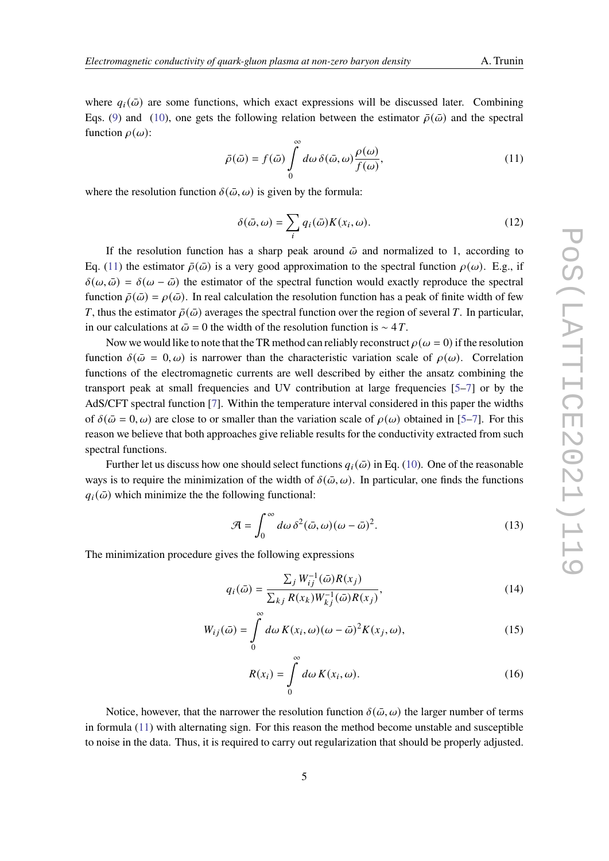where  $q_i(\bar{\omega})$  are some functions, which exact expressions will be discussed later. Combining Eqs. [\(9\)](#page-3-1) and [\(10\)](#page-3-2), one gets the following relation between the estimator  $\bar{\rho}(\bar{\omega})$  and the spectral function  $\rho(\omega)$ :

<span id="page-4-0"></span>
$$
\bar{\rho}(\bar{\omega}) = f(\bar{\omega}) \int_{0}^{\infty} d\omega \, \delta(\bar{\omega}, \omega) \frac{\rho(\omega)}{f(\omega)},
$$
\n(11)

where the resolution function  $\delta(\bar{\omega}, \omega)$  is given by the formula:

$$
\delta(\bar{\omega}, \omega) = \sum_{i} q_i(\bar{\omega}) K(x_i, \omega).
$$
 (12)

If the resolution function has a sharp peak around  $\bar{\omega}$  and normalized to 1, according to Eq. [\(11\)](#page-4-0) the estimator  $\bar{\rho}(\bar{\omega})$  is a very good approximation to the spectral function  $\rho(\omega)$ . E.g., if  $\delta(\omega, \bar{\omega}) = \delta(\omega - \bar{\omega})$  the estimator of the spectral function would exactly reproduce the spectral function  $\bar{\rho}(\bar{\omega}) = \rho(\bar{\omega})$ . In real calculation the resolution function has a peak of finite width of few T, thus the estimator  $\bar{\rho}(\bar{\omega})$  averages the spectral function over the region of several T. In particular, in our calculations at  $\bar{\omega} = 0$  the width of the resolution function is ~ 4 T.

Now we would like to note that the TR method can reliably reconstruct  $\rho(\omega = 0)$  if the resolution function  $\delta(\bar{\omega} = 0, \omega)$  is narrower than the characteristic variation scale of  $\rho(\omega)$ . Correlation functions of the electromagnetic currents are well described by either the ansatz combining the transport peak at small frequencies and UV contribution at large frequencies [\[5–](#page-8-2)[7\]](#page-8-9) or by the AdS/CFT spectral function [\[7\]](#page-8-9). Within the temperature interval considered in this paper the widths of  $\delta(\bar{\omega}=0,\omega)$  are close to or smaller than the variation scale of  $\rho(\omega)$  obtained in [\[5–](#page-8-2)[7\]](#page-8-9). For this reason we believe that both approaches give reliable results for the conductivity extracted from such spectral functions.

Further let us discuss how one should select functions  $q_i(\bar{\omega})$  in Eq. [\(10\)](#page-3-2). One of the reasonable ways is to require the minimization of the width of  $\delta(\bar{\omega}, \omega)$ . In particular, one finds the functions  $q_i(\bar{\omega})$  which minimize the the following functional:

$$
\mathcal{A} = \int_0^\infty d\omega \, \delta^2(\bar{\omega}, \omega) (\omega - \bar{\omega})^2.
$$
 (13)

The minimization procedure gives the following expressions

$$
q_i(\bar{\omega}) = \frac{\sum_j W_{ij}^{-1}(\bar{\omega})R(x_j)}{\sum_{k,j} R(x_k)W_{kj}^{-1}(\bar{\omega})R(x_j)},
$$
\n(14)

$$
W_{ij}(\bar{\omega}) = \int_{0}^{\infty} d\omega \, K(x_i, \omega) (\omega - \bar{\omega})^2 K(x_j, \omega), \tag{15}
$$

$$
R(x_i) = \int_{0}^{\infty} d\omega K(x_i, \omega).
$$
 (16)

Notice, however, that the narrower the resolution function  $\delta(\bar{\omega}, \omega)$  the larger number of terms in formula [\(11\)](#page-4-0) with alternating sign. For this reason the method become unstable and susceptible to noise in the data. Thus, it is required to carry out regularization that should be properly adjusted.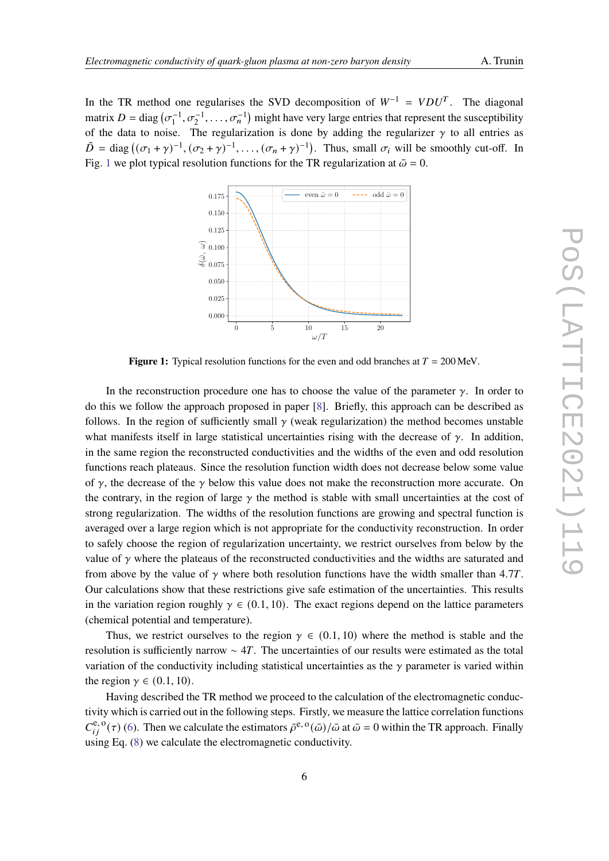<span id="page-5-0"></span>In the TR method one regularises the SVD decomposition of  $W^{-1} = VDU^{T}$ . The diagonal matrix  $D = \text{diag}(\sigma_1^{-1}, \sigma_2^{-1}, \dots, \sigma_n^{-1})$  might have very large entries that represent the susceptibility of the data to noise. The regularization is done by adding the regularizer  $\gamma$  to all entries as  $\tilde{D} = \text{diag}\left((\sigma_1 + \gamma)^{-1}, (\sigma_2 + \gamma)^{-1}, \dots, (\sigma_n + \gamma)^{-1}\right)$ . Thus, small  $\sigma_i$  will be smoothly cut-off. In Fig. [1](#page-5-0) we plot typical resolution functions for the TR regularization at  $\bar{\omega} = 0$ .



**Figure 1:** Typical resolution functions for the even and odd branches at  $T = 200$  MeV.

In the reconstruction procedure one has to choose the value of the parameter  $\gamma$ . In order to do this we follow the approach proposed in paper [\[8\]](#page-8-3). Briefly, this approach can be described as follows. In the region of sufficiently small  $\gamma$  (weak regularization) the method becomes unstable what manifests itself in large statistical uncertainties rising with the decrease of  $\gamma$ . In addition, in the same region the reconstructed conductivities and the widths of the even and odd resolution functions reach plateaus. Since the resolution function width does not decrease below some value of  $\gamma$ , the decrease of the  $\gamma$  below this value does not make the reconstruction more accurate. On the contrary, in the region of large  $\gamma$  the method is stable with small uncertainties at the cost of strong regularization. The widths of the resolution functions are growing and spectral function is averaged over a large region which is not appropriate for the conductivity reconstruction. In order to safely choose the region of regularization uncertainty, we restrict ourselves from below by the value of  $\gamma$  where the plateaus of the reconstructed conductivities and the widths are saturated and from above by the value of  $\gamma$  where both resolution functions have the width smaller than 4.7T. Our calculations show that these restrictions give safe estimation of the uncertainties. This results in the variation region roughly  $\gamma \in (0.1, 10)$ . The exact regions depend on the lattice parameters (chemical potential and temperature).

Thus, we restrict ourselves to the region  $\gamma \in (0.1, 10)$  where the method is stable and the resolution is sufficiently narrow  $\sim$  4*T*. The uncertainties of our results were estimated as the total variation of the conductivity including statistical uncertainties as the  $\gamma$  parameter is varied within the region  $\gamma \in (0.1, 10)$ .

Having described the TR method we proceed to the calculation of the electromagnetic conductivity which is carried out in the following steps. Firstly, we measure the lattice correlation functions  $C_{ij}^{\text{e}, \text{o}}(\tau)$  [\(6\)](#page-2-2). Then we calculate the estimators  $\bar{\rho}^{\text{e}, \text{o}}(\bar{\omega})/\bar{\omega}$  at  $\bar{\omega} = 0$  within the TR approach. Finally using Eq. [\(8\)](#page-3-3) we calculate the electromagnetic conductivity.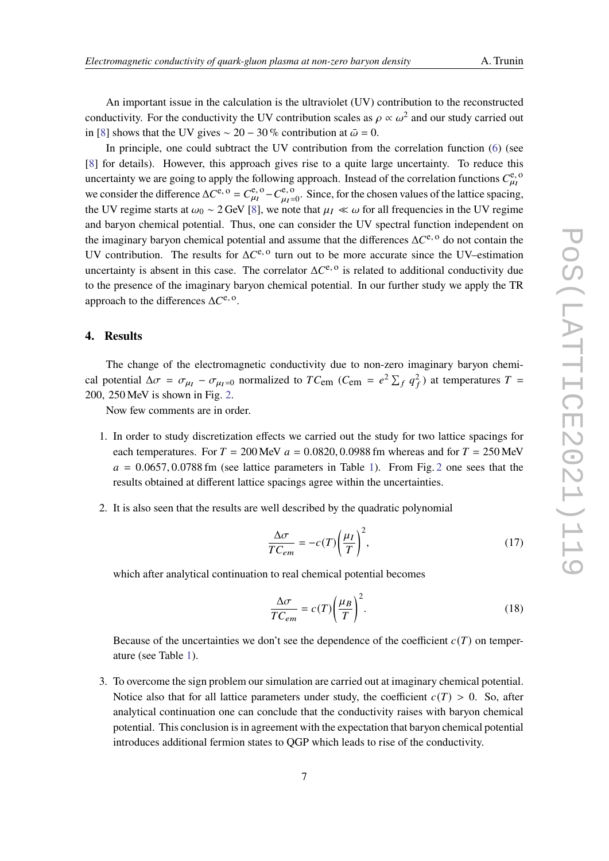An important issue in the calculation is the ultraviolet (UV) contribution to the reconstructed conductivity. For the conductivity the UV contribution scales as  $\rho \propto \omega^2$  and our study carried out in [\[8\]](#page-8-3) shows that the UV gives  $\sim 20 - 30\%$  contribution at  $\bar{\omega} = 0$ .

In principle, one could subtract the UV contribution from the correlation function [\(6\)](#page-2-2) (see [\[8\]](#page-8-3) for details). However, this approach gives rise to a quite large uncertainty. To reduce this uncertainty we are going to apply the following approach. Instead of the correlation functions  $C_{\mu}^{\rm e, o}$ we consider the difference  $\Delta C^{e, o} = C_{\mu_I}^{e, o} - C_{\mu_I}^{e, o}$  $\mu_{\mu=0}^{\text{e}, \text{o}}$ . Since, for the chosen values of the lattice spacing, the UV regime starts at  $\omega_0 \sim 2$  GeV [\[8\]](#page-8-3), we note that  $\mu_I \ll \omega$  for all frequencies in the UV regime and baryon chemical potential. Thus, one can consider the UV spectral function independent on the imaginary baryon chemical potential and assume that the differences  $\Delta C^{e, o}$  do not contain the UV contribution. The results for  $\Delta C^{e, o}$  turn out to be more accurate since the UV–estimation uncertainty is absent in this case. The correlator  $\Delta C^{e, o}$  is related to additional conductivity due to the presence of the imaginary baryon chemical potential. In our further study we apply the TR approach to the differences  $\Delta C^{\text{e}, \text{o}}$ .

#### **4. Results**

The change of the electromagnetic conductivity due to non-zero imaginary baryon chemical potential  $\Delta \sigma = \sigma_{\mu} - \sigma_{\mu}$  normalized to  $TC_{em}$  ( $C_{em} = e^2 \sum_f q_f^2$ ) at temperatures  $T =$ 200, 250 MeV is shown in Fig. [2.](#page-7-0)

Now few comments are in order.

- 1. In order to study discretization effects we carried out the study for two lattice spacings for each temperatures. For  $T = 200$  MeV  $a = 0.0820, 0.0988$  fm whereas and for  $T = 250$  MeV  $a = 0.0657, 0.0788$  fm (see lattice parameters in Table [1\)](#page-2-0). From Fig. [2](#page-7-0) one sees that the results obtained at different lattice spacings agree within the uncertainties.
- 2. It is also seen that the results are well described by the quadratic polynomial

<span id="page-6-0"></span>
$$
\frac{\Delta \sigma}{TC_{em}} = -c(T) \left(\frac{\mu_I}{T}\right)^2,\tag{17}
$$

which after analytical continuation to real chemical potential becomes

$$
\frac{\Delta \sigma}{TC_{em}} = c(T) \left(\frac{\mu_B}{T}\right)^2.
$$
\n(18)

Because of the uncertainties we don't see the dependence of the coefficient  $c(T)$  on temperature (see Table [1\)](#page-2-0).

3. To overcome the sign problem our simulation are carried out at imaginary chemical potential. Notice also that for all lattice parameters under study, the coefficient  $c(T) > 0$ . So, after analytical continuation one can conclude that the conductivity raises with baryon chemical potential. This conclusion is in agreement with the expectation that baryon chemical potential introduces additional fermion states to QGP which leads to rise of the conductivity.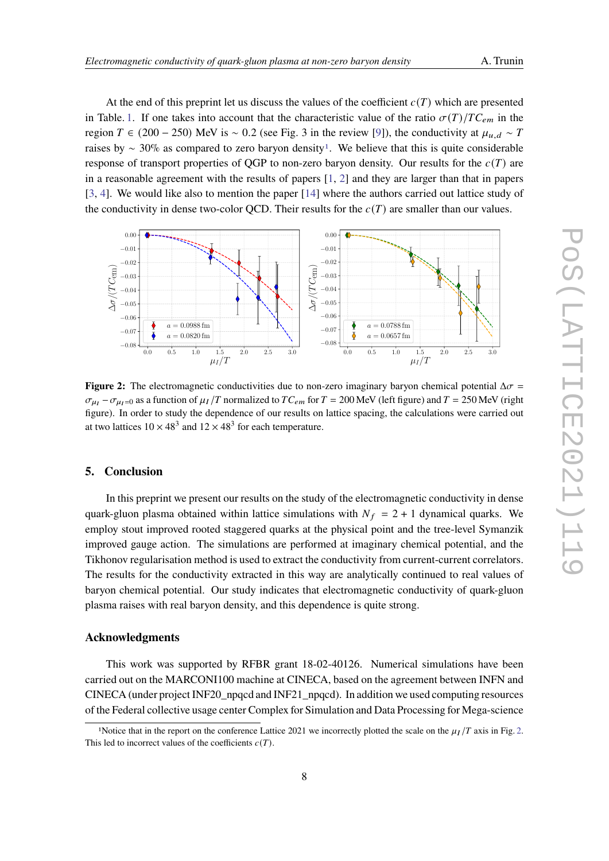At the end of this preprint let us discuss the values of the coefficient  $c(T)$  which are presented in Table. [1.](#page-2-0) If one takes into account that the characteristic value of the ratio  $\sigma(T)/TC_{em}$  in the region  $T \in (200 - 250)$  MeV is ~ 0.2 (see Fig. 3 in the review [\[9\]](#page-8-4)), the conductivity at  $\mu_{u,d} \sim T$ raises by  $\sim 30\%$  as compared to zero baryon density<sup>[1](#page-7-1)</sup>. We believe that this is quite considerable response of transport properties of QGP to non-zero baryon density. Our results for the  $c(T)$  are in a reasonable agreement with the results of papers [\[1,](#page-8-0) [2\]](#page-8-10) and they are larger than that in papers [\[3,](#page-8-11) [4\]](#page-8-1). We would like also to mention the paper [\[14\]](#page-9-1) where the authors carried out lattice study of the conductivity in dense two-color QCD. Their results for the  $c(T)$  are smaller than our values.

<span id="page-7-0"></span>

**Figure 2:** The electromagnetic conductivities due to non-zero imaginary baryon chemical potential  $\Delta \sigma$  =  $\sigma_{\mu}$  –  $\sigma_{\mu}$  =0 as a function of  $\mu$ <sub>I</sub> /T normalized to TC<sub>em</sub> for T = 200 MeV (left figure) and T = 250 MeV (right figure). In order to study the dependence of our results on lattice spacing, the calculations were carried out at two lattices  $10 \times 48^3$  and  $12 \times 48^3$  for each temperature.

## **5. Conclusion**

In this preprint we present our results on the study of the electromagnetic conductivity in dense quark-gluon plasma obtained within lattice simulations with  $N_f = 2 + 1$  dynamical quarks. We employ stout improved rooted staggered quarks at the physical point and the tree-level Symanzik improved gauge action. The simulations are performed at imaginary chemical potential, and the Tikhonov regularisation method is used to extract the conductivity from current-current correlators. The results for the conductivity extracted in this way are analytically continued to real values of baryon chemical potential. Our study indicates that electromagnetic conductivity of quark-gluon plasma raises with real baryon density, and this dependence is quite strong.

#### **Acknowledgments**

This work was supported by RFBR grant 18-02-40126. Numerical simulations have been carried out on the MARCONI100 machine at CINECA, based on the agreement between INFN and CINECA (under project INF20\_npqcd and INF21\_npqcd). In addition we used computing resources of the Federal collective usage center Complex for Simulation and Data Processing for Mega-science

<span id="page-7-1"></span><sup>&</sup>lt;sup>1</sup>Notice that in the report on the conference Lattice 2021 we incorrectly plotted the scale on the  $\mu_I/T$  axis in Fig. [2.](#page-7-0) This led to incorrect values of the coefficients  $c(T)$ .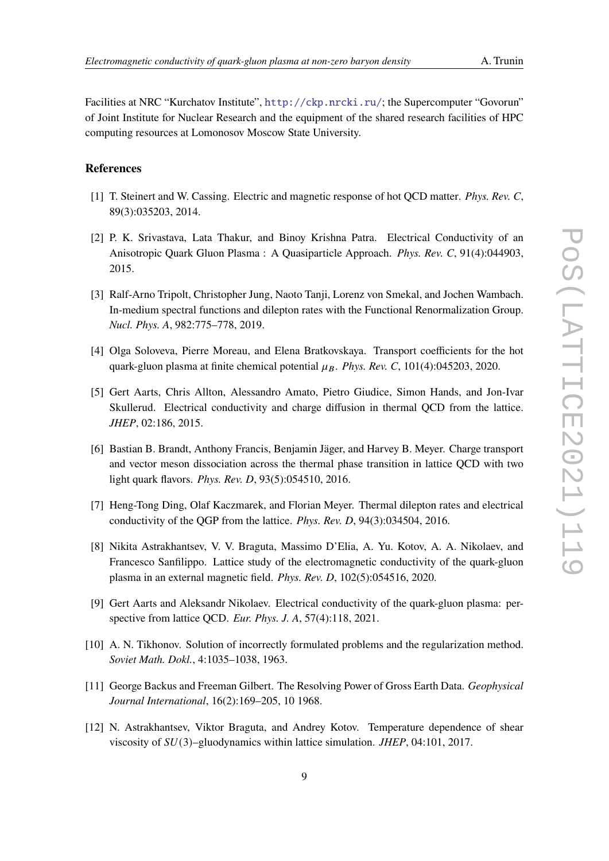Facilities at NRC "Kurchatov Institute", <http://ckp.nrcki.ru/>; the Supercomputer "Govorun" of Joint Institute for Nuclear Research and the equipment of the shared research facilities of HPC computing resources at Lomonosov Moscow State University.

### **References**

- <span id="page-8-0"></span>[1] T. Steinert and W. Cassing. Electric and magnetic response of hot QCD matter. *Phys. Rev. C*, 89(3):035203, 2014.
- <span id="page-8-10"></span>[2] P. K. Srivastava, Lata Thakur, and Binoy Krishna Patra. Electrical Conductivity of an Anisotropic Quark Gluon Plasma : A Quasiparticle Approach. *Phys. Rev. C*, 91(4):044903, 2015.
- <span id="page-8-11"></span>[3] Ralf-Arno Tripolt, Christopher Jung, Naoto Tanji, Lorenz von Smekal, and Jochen Wambach. In-medium spectral functions and dilepton rates with the Functional Renormalization Group. *Nucl. Phys. A*, 982:775–778, 2019.
- <span id="page-8-1"></span>[4] Olga Soloveva, Pierre Moreau, and Elena Bratkovskaya. Transport coefficients for the hot quark-gluon plasma at finite chemical potential  $\mu_B$ . *Phys. Rev. C*, 101(4):045203, 2020.
- <span id="page-8-2"></span>[5] Gert Aarts, Chris Allton, Alessandro Amato, Pietro Giudice, Simon Hands, and Jon-Ivar Skullerud. Electrical conductivity and charge diffusion in thermal QCD from the lattice. *JHEP*, 02:186, 2015.
- <span id="page-8-8"></span>[6] Bastian B. Brandt, Anthony Francis, Benjamin Jäger, and Harvey B. Meyer. Charge transport and vector meson dissociation across the thermal phase transition in lattice QCD with two light quark flavors. *Phys. Rev. D*, 93(5):054510, 2016.
- <span id="page-8-9"></span>[7] Heng-Tong Ding, Olaf Kaczmarek, and Florian Meyer. Thermal dilepton rates and electrical conductivity of the QGP from the lattice. *Phys. Rev. D*, 94(3):034504, 2016.
- <span id="page-8-3"></span>[8] Nikita Astrakhantsev, V. V. Braguta, Massimo D'Elia, A. Yu. Kotov, A. A. Nikolaev, and Francesco Sanfilippo. Lattice study of the electromagnetic conductivity of the quark-gluon plasma in an external magnetic field. *Phys. Rev. D*, 102(5):054516, 2020.
- <span id="page-8-4"></span>[9] Gert Aarts and Aleksandr Nikolaev. Electrical conductivity of the quark-gluon plasma: perspective from lattice QCD. *Eur. Phys. J. A*, 57(4):118, 2021.
- <span id="page-8-5"></span>[10] A. N. Tikhonov. Solution of incorrectly formulated problems and the regularization method. *Soviet Math. Dokl.*, 4:1035–1038, 1963.
- <span id="page-8-6"></span>[11] George Backus and Freeman Gilbert. The Resolving Power of Gross Earth Data. *Geophysical Journal International*, 16(2):169–205, 10 1968.
- <span id="page-8-7"></span>[12] N. Astrakhantsev, Viktor Braguta, and Andrey Kotov. Temperature dependence of shear viscosity of  $SU(3)$ –gluodynamics within lattice simulation. *JHEP*, 04:101, 2017.